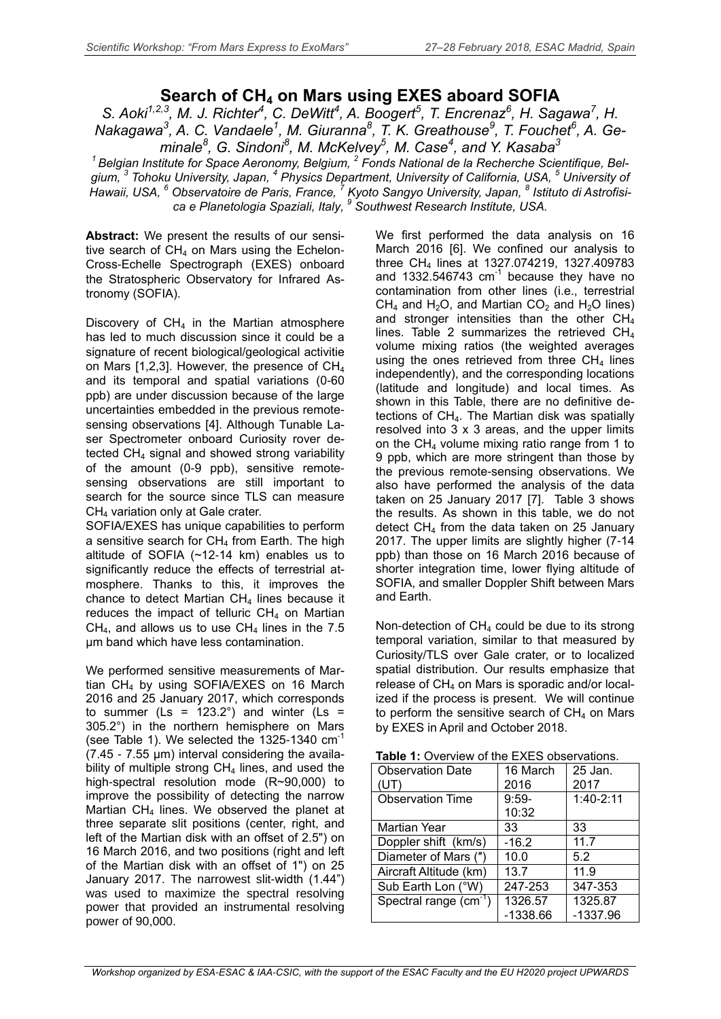## **Search of CH<sup>4</sup> on Mars using EXES aboard SOFIA**

*S. Aoki1,2,3, M. J. Richter<sup>4</sup> , C. DeWitt<sup>4</sup> , A. Boogert<sup>5</sup> , T. Encrenaz<sup>6</sup> , H. Sagawa<sup>7</sup> , H. Nakagawa<sup>3</sup> , A. C. Vandaele<sup>1</sup> , M. Giuranna<sup>8</sup> , T. K. Greathouse<sup>9</sup> , T. Fouchet<sup>6</sup> , A. Ge*minale<sup>8</sup>, G. Sindoni<sup>8</sup>, M. McKelvey<sup>5</sup>, M. Case<sup>4</sup>, and Y. Kasaba<sup>3</sup>

<sup>1</sup> Belgian Institute for Space Aeronomy, Belgium, <sup>2</sup> Fonds National de la Recherche Scientifique, Bel*gium, 3 Tohoku University, Japan, <sup>4</sup> Physics Department, University of California, USA, <sup>5</sup> University of Hawaii, USA, <sup>6</sup> Observatoire de Paris, France, <sup>7</sup> Kyoto Sangyo University, Japan, 8 Istituto di Astrofisica e Planetologia Spaziali, Italy, <sup>9</sup> Southwest Research Institute, USA.*

**Abstract:** We present the results of our sensitive search of  $CH<sub>4</sub>$  on Mars using the Echelon-Cross-Echelle Spectrograph (EXES) onboard the Stratospheric Observatory for Infrared Astronomy (SOFIA).

Discovery of  $CH<sub>4</sub>$  in the Martian atmosphere has led to much discussion since it could be a signature of recent biological/geological activitie on Mars [1,2,3]. However, the presence of  $CH<sub>4</sub>$ and its temporal and spatial variations (0-60 ppb) are under discussion because of the large uncertainties embedded in the previous remotesensing observations [4]. Although Tunable Laser Spectrometer onboard Curiosity rover detected CH<sup>4</sup> signal and showed strong variability of the amount (0-9 ppb), sensitive remotesensing observations are still important to search for the source since TLS can measure CH<sup>4</sup> variation only at Gale crater.

SOFIA/EXES has unique capabilities to perform a sensitive search for  $CH<sub>4</sub>$  from Earth. The high altitude of SOFIA (~12-14 km) enables us to significantly reduce the effects of terrestrial atmosphere. Thanks to this, it improves the chance to detect Martian  $CH<sub>4</sub>$  lines because it reduces the impact of telluric  $CH<sub>4</sub>$  on Martian  $CH<sub>4</sub>$ , and allows us to use  $CH<sub>4</sub>$  lines in the 7.5 μm band which have less contamination.

We performed sensitive measurements of Martian CH<sup>4</sup> by using SOFIA/EXES on 16 March 2016 and 25 January 2017, which corresponds to summer ( $\text{Ls} = 123.2^{\circ}$ ) and winter ( $\text{Ls} =$ 305.2°) in the northern hemisphere on Mars (see Table 1). We selected the 1325-1340 cm<sup>-1</sup> (7.45 - 7.55 μm) interval considering the availability of multiple strong  $CH<sub>4</sub>$  lines, and used the high-spectral resolution mode (R~90,000) to improve the possibility of detecting the narrow Martian  $CH<sub>4</sub>$  lines. We observed the planet at three separate slit positions (center, right, and left of the Martian disk with an offset of 2.5") on 16 March 2016, and two positions (right and left of the Martian disk with an offset of 1") on 25 January 2017. The narrowest slit-width (1.44") was used to maximize the spectral resolving power that provided an instrumental resolving power of 90,000.

We first performed the data analysis on 16 March 2016 [6]. We confined our analysis to three CH<sup>4</sup> lines at 1327.074219, 1327.409783 and 1332.546743  $cm<sup>-1</sup>$  because they have no contamination from other lines (i.e., terrestrial  $CH_4$  and H<sub>2</sub>O, and Martian  $CO_2$  and H<sub>2</sub>O lines) and stronger intensities than the other  $CH<sub>4</sub>$ lines. Table 2 summarizes the retrieved  $CH<sub>4</sub>$ volume mixing ratios (the weighted averages using the ones retrieved from three  $CH<sub>4</sub>$  lines independently), and the corresponding locations (latitude and longitude) and local times. As shown in this Table, there are no definitive detections of  $CH<sub>4</sub>$ . The Martian disk was spatially resolved into 3 x 3 areas, and the upper limits on the  $CH<sub>4</sub>$  volume mixing ratio range from 1 to 9 ppb, which are more stringent than those by the previous remote-sensing observations. We also have performed the analysis of the data taken on 25 January 2017 [7]. Table 3 shows the results. As shown in this table, we do not detect CH<sup>4</sup> from the data taken on 25 January 2017. The upper limits are slightly higher (7-14 ppb) than those on 16 March 2016 because of shorter integration time, lower flying altitude of SOFIA, and smaller Doppler Shift between Mars and Earth.

Non-detection of  $CH<sub>4</sub>$  could be due to its strong temporal variation, similar to that measured by Curiosity/TLS over Gale crater, or to localized spatial distribution. Our results emphasize that release of  $CH<sub>4</sub>$  on Mars is sporadic and/or localized if the process is present. We will continue to perform the sensitive search of  $CH<sub>4</sub>$  on Mars by EXES in April and October 2018.

| <b>Observation Date</b><br>(UT) | 16 March<br>2016 | 25 Jan.<br>2017 |  |  |
|---------------------------------|------------------|-----------------|--|--|
| <b>Observation Time</b>         | $9:59-$          | 1:40-2:11       |  |  |
|                                 | 10:32            |                 |  |  |
| Martian Year                    | 33               | 33              |  |  |
| Doppler shift (km/s)            | $-16.2$          | 11.7            |  |  |
| Diameter of Mars (")            | 10.0             | 5.2             |  |  |
| Aircraft Altitude (km)          | 13.7             | 11.9            |  |  |
| Sub Earth Lon (°W)              | 247-253          | 347-353         |  |  |
| Spectral range $(cm-1)$         | 1326.57          | 1325.87         |  |  |
|                                 | $-1338.66$       | -1337.96        |  |  |

**Table 1:** Overview of the EXES observations.